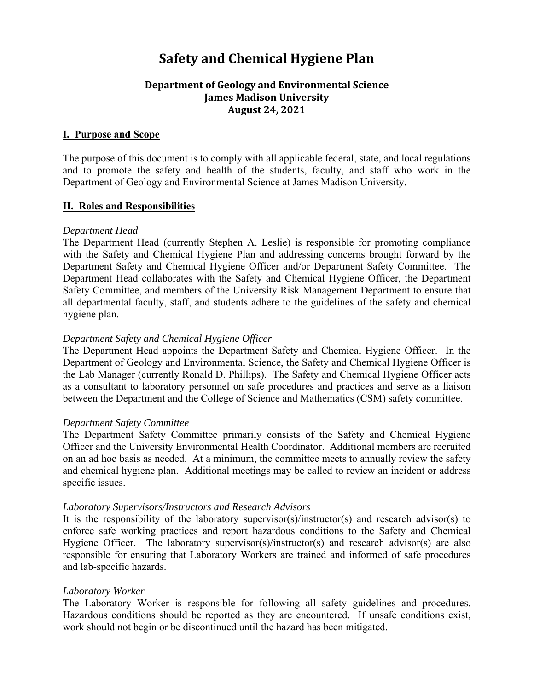# **Safety and Chemical Hygiene Plan**

#### **Department of Geology and Environmental Science James Madison University August 24, 2021**

#### **I. Purpose and Scope**

The purpose of this document is to comply with all applicable federal, state, and local regulations and to promote the safety and health of the students, faculty, and staff who work in the Department of Geology and Environmental Science at James Madison University.

#### **II. Roles and Responsibilities**

#### *Department Head*

The Department Head (currently Stephen A. Leslie) is responsible for promoting compliance with the Safety and Chemical Hygiene Plan and addressing concerns brought forward by the Department Safety and Chemical Hygiene Officer and/or Department Safety Committee. The Department Head collaborates with the Safety and Chemical Hygiene Officer, the Department Safety Committee, and members of the University Risk Management Department to ensure that all departmental faculty, staff, and students adhere to the guidelines of the safety and chemical hygiene plan.

#### *Department Safety and Chemical Hygiene Officer*

The Department Head appoints the Department Safety and Chemical Hygiene Officer. In the Department of Geology and Environmental Science, the Safety and Chemical Hygiene Officer is the Lab Manager (currently Ronald D. Phillips). The Safety and Chemical Hygiene Officer acts as a consultant to laboratory personnel on safe procedures and practices and serve as a liaison between the Department and the College of Science and Mathematics (CSM) safety committee.

#### *Department Safety Committee*

The Department Safety Committee primarily consists of the Safety and Chemical Hygiene Officer and the University Environmental Health Coordinator. Additional members are recruited on an ad hoc basis as needed. At a minimum, the committee meets to annually review the safety and chemical hygiene plan. Additional meetings may be called to review an incident or address specific issues.

#### *Laboratory Supervisors/Instructors and Research Advisors*

It is the responsibility of the laboratory supervisor(s)/instructor(s) and research advisor(s) to enforce safe working practices and report hazardous conditions to the Safety and Chemical Hygiene Officer. The laboratory supervisor(s)/instructor(s) and research advisor(s) are also responsible for ensuring that Laboratory Workers are trained and informed of safe procedures and lab-specific hazards.

#### *Laboratory Worker*

The Laboratory Worker is responsible for following all safety guidelines and procedures. Hazardous conditions should be reported as they are encountered. If unsafe conditions exist, work should not begin or be discontinued until the hazard has been mitigated.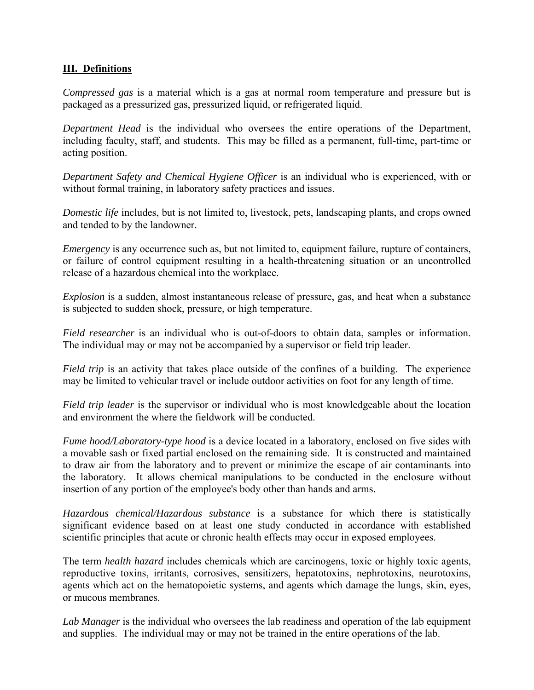#### **III. Definitions**

*Compressed gas* is a material which is a gas at normal room temperature and pressure but is packaged as a pressurized gas, pressurized liquid, or refrigerated liquid.

*Department Head* is the individual who oversees the entire operations of the Department, including faculty, staff, and students. This may be filled as a permanent, full-time, part-time or acting position.

*Department Safety and Chemical Hygiene Officer* is an individual who is experienced, with or without formal training, in laboratory safety practices and issues.

*Domestic life* includes, but is not limited to, livestock, pets, landscaping plants, and crops owned and tended to by the landowner.

*Emergency* is any occurrence such as, but not limited to, equipment failure, rupture of containers, or failure of control equipment resulting in a health-threatening situation or an uncontrolled release of a hazardous chemical into the workplace.

*Explosion* is a sudden, almost instantaneous release of pressure, gas, and heat when a substance is subjected to sudden shock, pressure, or high temperature.

*Field researcher* is an individual who is out-of-doors to obtain data, samples or information. The individual may or may not be accompanied by a supervisor or field trip leader.

*Field trip* is an activity that takes place outside of the confines of a building. The experience may be limited to vehicular travel or include outdoor activities on foot for any length of time.

*Field trip leader* is the supervisor or individual who is most knowledgeable about the location and environment the where the fieldwork will be conducted.

*Fume hood/Laboratory-type hood* is a device located in a laboratory, enclosed on five sides with a movable sash or fixed partial enclosed on the remaining side. It is constructed and maintained to draw air from the laboratory and to prevent or minimize the escape of air contaminants into the laboratory. It allows chemical manipulations to be conducted in the enclosure without insertion of any portion of the employee's body other than hands and arms.

*Hazardous chemical/Hazardous substance* is a substance for which there is statistically significant evidence based on at least one study conducted in accordance with established scientific principles that acute or chronic health effects may occur in exposed employees.

The term *health hazard* includes chemicals which are carcinogens, toxic or highly toxic agents, reproductive toxins, irritants, corrosives, sensitizers, hepatotoxins, nephrotoxins, neurotoxins, agents which act on the hematopoietic systems, and agents which damage the lungs, skin, eyes, or mucous membranes.

*Lab Manager* is the individual who oversees the lab readiness and operation of the lab equipment and supplies. The individual may or may not be trained in the entire operations of the lab.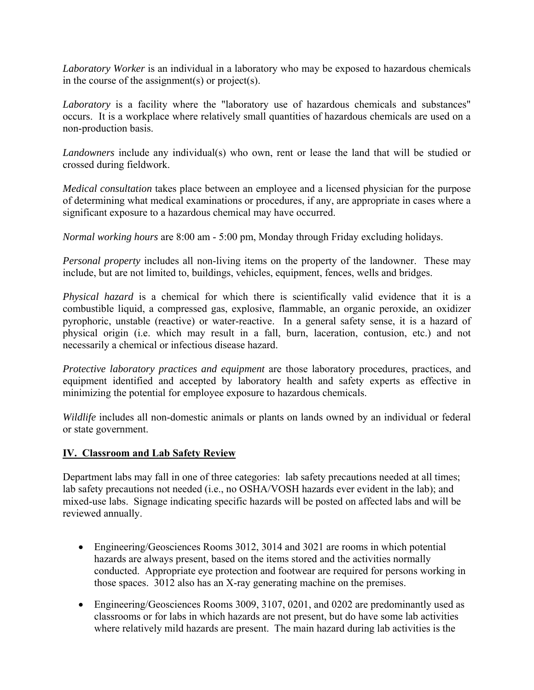*Laboratory Worker* is an individual in a laboratory who may be exposed to hazardous chemicals in the course of the assignment(s) or project(s).

*Laboratory* is a facility where the "laboratory use of hazardous chemicals and substances" occurs. It is a workplace where relatively small quantities of hazardous chemicals are used on a non-production basis.

*Landowners* include any individual(s) who own, rent or lease the land that will be studied or crossed during fieldwork.

*Medical consultation* takes place between an employee and a licensed physician for the purpose of determining what medical examinations or procedures, if any, are appropriate in cases where a significant exposure to a hazardous chemical may have occurred.

*Normal working hours* are 8:00 am - 5:00 pm, Monday through Friday excluding holidays.

*Personal property* includes all non-living items on the property of the landowner. These may include, but are not limited to, buildings, vehicles, equipment, fences, wells and bridges.

*Physical hazard* is a chemical for which there is scientifically valid evidence that it is a combustible liquid, a compressed gas, explosive, flammable, an organic peroxide, an oxidizer pyrophoric, unstable (reactive) or water-reactive. In a general safety sense, it is a hazard of physical origin (i.e. which may result in a fall, burn, laceration, contusion, etc.) and not necessarily a chemical or infectious disease hazard.

*Protective laboratory practices and equipment* are those laboratory procedures, practices, and equipment identified and accepted by laboratory health and safety experts as effective in minimizing the potential for employee exposure to hazardous chemicals.

*Wildlife* includes all non-domestic animals or plants on lands owned by an individual or federal or state government.

# **IV. Classroom and Lab Safety Review**

Department labs may fall in one of three categories: lab safety precautions needed at all times; lab safety precautions not needed (i.e., no OSHA/VOSH hazards ever evident in the lab); and mixed-use labs. Signage indicating specific hazards will be posted on affected labs and will be reviewed annually.

- Engineering/Geosciences Rooms 3012, 3014 and 3021 are rooms in which potential hazards are always present, based on the items stored and the activities normally conducted. Appropriate eye protection and footwear are required for persons working in those spaces. 3012 also has an X-ray generating machine on the premises.
- Engineering/Geosciences Rooms 3009, 3107, 0201, and 0202 are predominantly used as classrooms or for labs in which hazards are not present, but do have some lab activities where relatively mild hazards are present. The main hazard during lab activities is the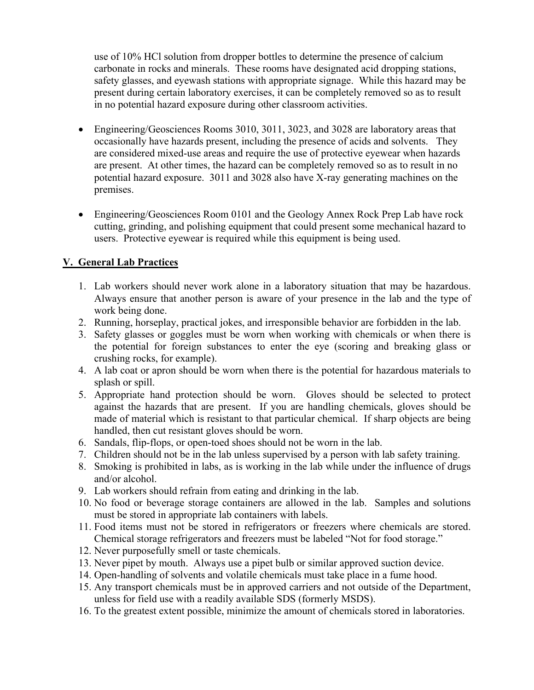use of 10% HCl solution from dropper bottles to determine the presence of calcium carbonate in rocks and minerals. These rooms have designated acid dropping stations, safety glasses, and eyewash stations with appropriate signage. While this hazard may be present during certain laboratory exercises, it can be completely removed so as to result in no potential hazard exposure during other classroom activities.

- Engineering/Geosciences Rooms 3010, 3011, 3023, and 3028 are laboratory areas that occasionally have hazards present, including the presence of acids and solvents. They are considered mixed-use areas and require the use of protective eyewear when hazards are present. At other times, the hazard can be completely removed so as to result in no potential hazard exposure. 3011 and 3028 also have X-ray generating machines on the premises.
- Engineering/Geosciences Room 0101 and the Geology Annex Rock Prep Lab have rock cutting, grinding, and polishing equipment that could present some mechanical hazard to users. Protective eyewear is required while this equipment is being used.

# **V. General Lab Practices**

- 1. Lab workers should never work alone in a laboratory situation that may be hazardous. Always ensure that another person is aware of your presence in the lab and the type of work being done.
- 2. Running, horseplay, practical jokes, and irresponsible behavior are forbidden in the lab.
- 3. Safety glasses or goggles must be worn when working with chemicals or when there is the potential for foreign substances to enter the eye (scoring and breaking glass or crushing rocks, for example).
- 4. A lab coat or apron should be worn when there is the potential for hazardous materials to splash or spill.
- 5. Appropriate hand protection should be worn. Gloves should be selected to protect against the hazards that are present. If you are handling chemicals, gloves should be made of material which is resistant to that particular chemical. If sharp objects are being handled, then cut resistant gloves should be worn.
- 6. Sandals, flip-flops, or open-toed shoes should not be worn in the lab.
- 7. Children should not be in the lab unless supervised by a person with lab safety training.
- 8. Smoking is prohibited in labs, as is working in the lab while under the influence of drugs and/or alcohol.
- 9. Lab workers should refrain from eating and drinking in the lab.
- 10. No food or beverage storage containers are allowed in the lab. Samples and solutions must be stored in appropriate lab containers with labels.
- 11. Food items must not be stored in refrigerators or freezers where chemicals are stored. Chemical storage refrigerators and freezers must be labeled "Not for food storage."
- 12. Never purposefully smell or taste chemicals.
- 13. Never pipet by mouth. Always use a pipet bulb or similar approved suction device.
- 14. Open-handling of solvents and volatile chemicals must take place in a fume hood.
- 15. Any transport chemicals must be in approved carriers and not outside of the Department, unless for field use with a readily available SDS (formerly MSDS).
- 16. To the greatest extent possible, minimize the amount of chemicals stored in laboratories.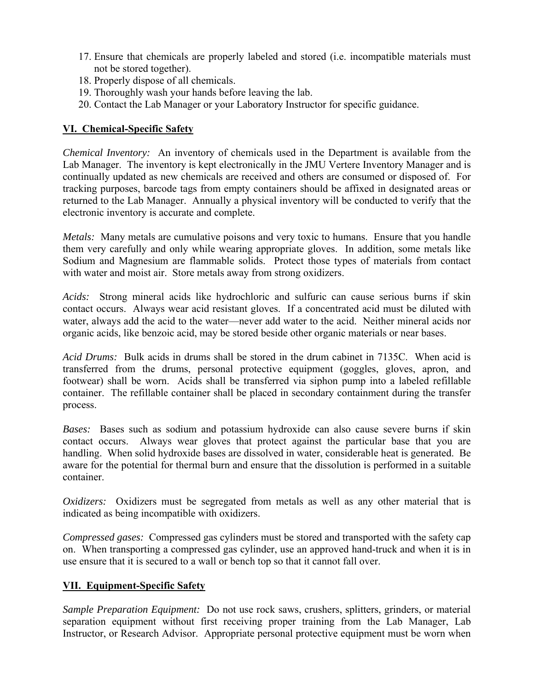- 17. Ensure that chemicals are properly labeled and stored (i.e. incompatible materials must not be stored together).
- 18. Properly dispose of all chemicals.
- 19. Thoroughly wash your hands before leaving the lab.
- 20. Contact the Lab Manager or your Laboratory Instructor for specific guidance.

# **VI. Chemical-Specific Safety**

*Chemical Inventory:* An inventory of chemicals used in the Department is available from the Lab Manager. The inventory is kept electronically in the JMU Vertere Inventory Manager and is continually updated as new chemicals are received and others are consumed or disposed of. For tracking purposes, barcode tags from empty containers should be affixed in designated areas or returned to the Lab Manager. Annually a physical inventory will be conducted to verify that the electronic inventory is accurate and complete.

*Metals:* Many metals are cumulative poisons and very toxic to humans. Ensure that you handle them very carefully and only while wearing appropriate gloves. In addition, some metals like Sodium and Magnesium are flammable solids. Protect those types of materials from contact with water and moist air. Store metals away from strong oxidizers.

*Acids:* Strong mineral acids like hydrochloric and sulfuric can cause serious burns if skin contact occurs. Always wear acid resistant gloves. If a concentrated acid must be diluted with water, always add the acid to the water—never add water to the acid. Neither mineral acids nor organic acids, like benzoic acid, may be stored beside other organic materials or near bases.

*Acid Drums:* Bulk acids in drums shall be stored in the drum cabinet in 7135C. When acid is transferred from the drums, personal protective equipment (goggles, gloves, apron, and footwear) shall be worn. Acids shall be transferred via siphon pump into a labeled refillable container. The refillable container shall be placed in secondary containment during the transfer process.

*Bases:* Bases such as sodium and potassium hydroxide can also cause severe burns if skin contact occurs. Always wear gloves that protect against the particular base that you are handling. When solid hydroxide bases are dissolved in water, considerable heat is generated. Be aware for the potential for thermal burn and ensure that the dissolution is performed in a suitable container.

*Oxidizers:* Oxidizers must be segregated from metals as well as any other material that is indicated as being incompatible with oxidizers.

*Compressed gases:* Compressed gas cylinders must be stored and transported with the safety cap on. When transporting a compressed gas cylinder, use an approved hand-truck and when it is in use ensure that it is secured to a wall or bench top so that it cannot fall over.

# **VII. Equipment-Specific Safety**

*Sample Preparation Equipment:* Do not use rock saws, crushers, splitters, grinders, or material separation equipment without first receiving proper training from the Lab Manager, Lab Instructor, or Research Advisor. Appropriate personal protective equipment must be worn when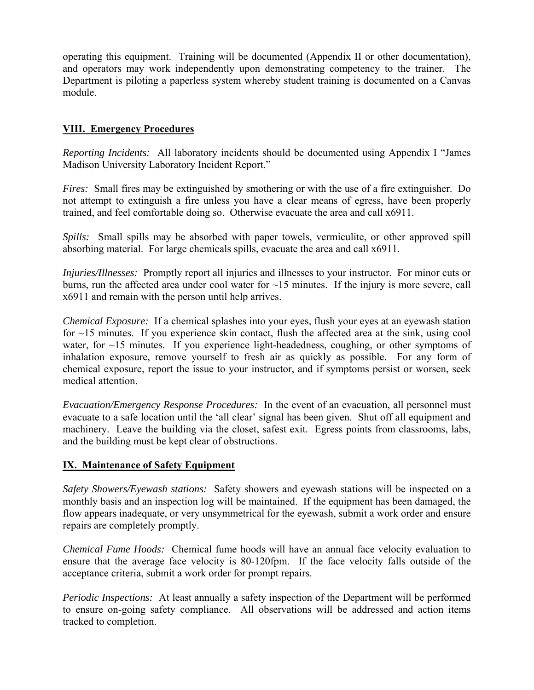operating this equipment. Training will be documented (Appendix II or other documentation), and operators may work independently upon demonstrating competency to the trainer. The Department is piloting a paperless system whereby student training is documented on a Canvas module.

# **VIII. Emergency Procedures**

*Reporting Incidents:* All laboratory incidents should be documented using Appendix I "James Madison University Laboratory Incident Report."

*Fires:* Small fires may be extinguished by smothering or with the use of a fire extinguisher. Do not attempt to extinguish a fire unless you have a clear means of egress, have been properly trained, and feel comfortable doing so. Otherwise evacuate the area and call x6911.

*Spills:* Small spills may be absorbed with paper towels, vermiculite, or other approved spill absorbing material. For large chemicals spills, evacuate the area and call x6911.

*Injuries/Illnesses:* Promptly report all injuries and illnesses to your instructor. For minor cuts or burns, run the affected area under cool water for  $\sim$ 15 minutes. If the injury is more severe, call x6911 and remain with the person until help arrives.

*Chemical Exposure:* If a chemical splashes into your eyes, flush your eyes at an eyewash station for ~15 minutes. If you experience skin contact, flush the affected area at the sink, using cool water, for ~15 minutes. If you experience light-headedness, coughing, or other symptoms of inhalation exposure, remove yourself to fresh air as quickly as possible. For any form of chemical exposure, report the issue to your instructor, and if symptoms persist or worsen, seek medical attention.

*Evacuation/Emergency Response Procedures:* In the event of an evacuation, all personnel must evacuate to a safe location until the 'all clear' signal has been given. Shut off all equipment and machinery. Leave the building via the closet, safest exit. Egress points from classrooms, labs, and the building must be kept clear of obstructions.

# **IX. Maintenance of Safety Equipment**

*Safety Showers/Eyewash stations:* Safety showers and eyewash stations will be inspected on a monthly basis and an inspection log will be maintained. If the equipment has been damaged, the flow appears inadequate, or very unsymmetrical for the eyewash, submit a work order and ensure repairs are completely promptly.

*Chemical Fume Hoods:* Chemical fume hoods will have an annual face velocity evaluation to ensure that the average face velocity is 80-120fpm. If the face velocity falls outside of the acceptance criteria, submit a work order for prompt repairs.

*Periodic Inspections:* At least annually a safety inspection of the Department will be performed to ensure on-going safety compliance. All observations will be addressed and action items tracked to completion.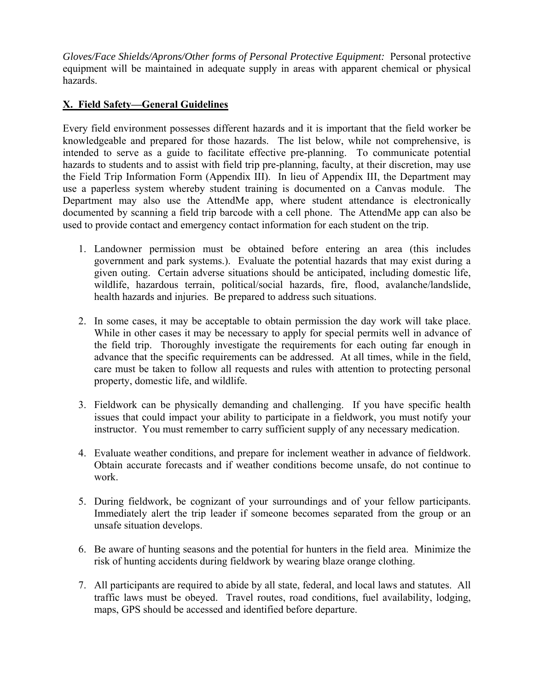*Gloves/Face Shields/Aprons/Other forms of Personal Protective Equipment:* Personal protective equipment will be maintained in adequate supply in areas with apparent chemical or physical hazards.

# **X. Field Safety—General Guidelines**

Every field environment possesses different hazards and it is important that the field worker be knowledgeable and prepared for those hazards. The list below, while not comprehensive, is intended to serve as a guide to facilitate effective pre-planning. To communicate potential hazards to students and to assist with field trip pre-planning, faculty, at their discretion, may use the Field Trip Information Form (Appendix III). In lieu of Appendix III, the Department may use a paperless system whereby student training is documented on a Canvas module. The Department may also use the AttendMe app, where student attendance is electronically documented by scanning a field trip barcode with a cell phone. The AttendMe app can also be used to provide contact and emergency contact information for each student on the trip.

- 1. Landowner permission must be obtained before entering an area (this includes government and park systems.). Evaluate the potential hazards that may exist during a given outing. Certain adverse situations should be anticipated, including domestic life, wildlife, hazardous terrain, political/social hazards, fire, flood, avalanche/landslide, health hazards and injuries. Be prepared to address such situations.
- 2. In some cases, it may be acceptable to obtain permission the day work will take place. While in other cases it may be necessary to apply for special permits well in advance of the field trip. Thoroughly investigate the requirements for each outing far enough in advance that the specific requirements can be addressed. At all times, while in the field, care must be taken to follow all requests and rules with attention to protecting personal property, domestic life, and wildlife.
- 3. Fieldwork can be physically demanding and challenging. If you have specific health issues that could impact your ability to participate in a fieldwork, you must notify your instructor. You must remember to carry sufficient supply of any necessary medication.
- 4. Evaluate weather conditions, and prepare for inclement weather in advance of fieldwork. Obtain accurate forecasts and if weather conditions become unsafe, do not continue to work.
- 5. During fieldwork, be cognizant of your surroundings and of your fellow participants. Immediately alert the trip leader if someone becomes separated from the group or an unsafe situation develops.
- 6. Be aware of hunting seasons and the potential for hunters in the field area. Minimize the risk of hunting accidents during fieldwork by wearing blaze orange clothing.
- 7. All participants are required to abide by all state, federal, and local laws and statutes. All traffic laws must be obeyed. Travel routes, road conditions, fuel availability, lodging, maps, GPS should be accessed and identified before departure.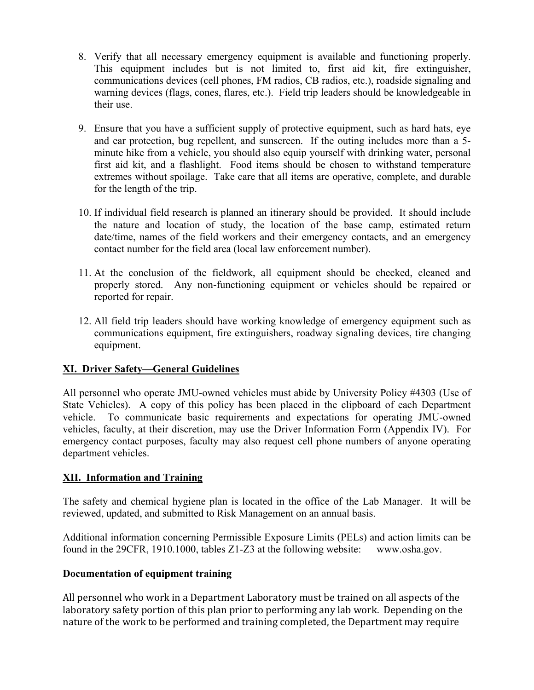- 8. Verify that all necessary emergency equipment is available and functioning properly. This equipment includes but is not limited to, first aid kit, fire extinguisher, communications devices (cell phones, FM radios, CB radios, etc.), roadside signaling and warning devices (flags, cones, flares, etc.). Field trip leaders should be knowledgeable in their use.
- 9. Ensure that you have a sufficient supply of protective equipment, such as hard hats, eye and ear protection, bug repellent, and sunscreen. If the outing includes more than a 5 minute hike from a vehicle, you should also equip yourself with drinking water, personal first aid kit, and a flashlight. Food items should be chosen to withstand temperature extremes without spoilage. Take care that all items are operative, complete, and durable for the length of the trip.
- 10. If individual field research is planned an itinerary should be provided. It should include the nature and location of study, the location of the base camp, estimated return date/time, names of the field workers and their emergency contacts, and an emergency contact number for the field area (local law enforcement number).
- 11. At the conclusion of the fieldwork, all equipment should be checked, cleaned and properly stored. Any non-functioning equipment or vehicles should be repaired or reported for repair.
- 12. All field trip leaders should have working knowledge of emergency equipment such as communications equipment, fire extinguishers, roadway signaling devices, tire changing equipment.

# **XI. Driver Safety—General Guidelines**

All personnel who operate JMU-owned vehicles must abide by University Policy #4303 (Use of State Vehicles). A copy of this policy has been placed in the clipboard of each Department vehicle. To communicate basic requirements and expectations for operating JMU-owned vehicles, faculty, at their discretion, may use the Driver Information Form (Appendix IV). For emergency contact purposes, faculty may also request cell phone numbers of anyone operating department vehicles.

# **XII. Information and Training**

The safety and chemical hygiene plan is located in the office of the Lab Manager. It will be reviewed, updated, and submitted to Risk Management on an annual basis.

Additional information concerning Permissible Exposure Limits (PELs) and action limits can be found in the 29CFR, 1910.1000, tables Z1-Z3 at the following website: www.osha.gov.

# **Documentation of equipment training**

All personnel who work in a Department Laboratory must be trained on all aspects of the laboratory safety portion of this plan prior to performing any lab work. Depending on the nature of the work to be performed and training completed, the Department may require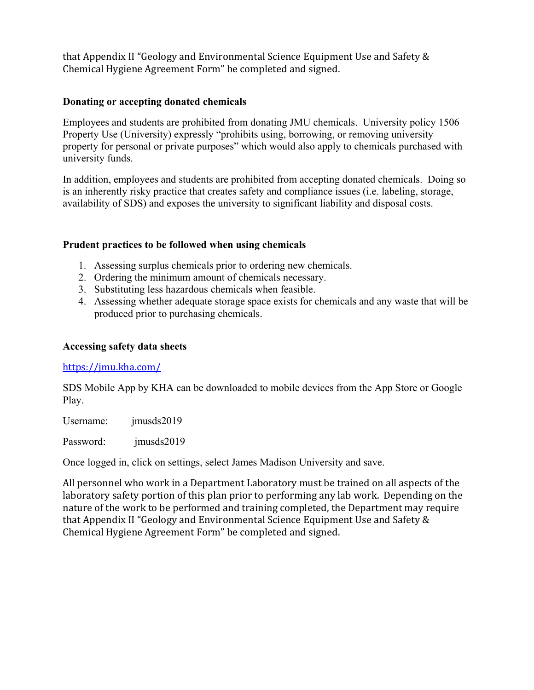that Appendix II "Geology and Environmental Science Equipment Use and Safety & Chemical Hygiene Agreement Form" be completed and signed.

### **Donating or accepting donated chemicals**

Employees and students are prohibited from donating JMU chemicals. University policy 1506 Property Use (University) expressly "prohibits using, borrowing, or removing university property for personal or private purposes" which would also apply to chemicals purchased with university funds.

In addition, employees and students are prohibited from accepting donated chemicals. Doing so is an inherently risky practice that creates safety and compliance issues (i.e. labeling, storage, availability of SDS) and exposes the university to significant liability and disposal costs.

#### **Prudent practices to be followed when using chemicals**

- 1. Assessing surplus chemicals prior to ordering new chemicals.
- 2. Ordering the minimum amount of chemicals necessary.
- 3. Substituting less hazardous chemicals when feasible.
- 4. Assessing whether adequate storage space exists for chemicals and any waste that will be produced prior to purchasing chemicals.

#### **Accessing safety data sheets**

#### https://jmu.kha.com/

SDS Mobile App by KHA can be downloaded to mobile devices from the App Store or Google Play.

Username: jmusds2019

Password: jmusds2019

Once logged in, click on settings, select James Madison University and save.

All personnel who work in a Department Laboratory must be trained on all aspects of the laboratory safety portion of this plan prior to performing any lab work. Depending on the nature of the work to be performed and training completed, the Department may require that Appendix II "Geology and Environmental Science Equipment Use and Safety & Chemical Hygiene Agreement Form" be completed and signed.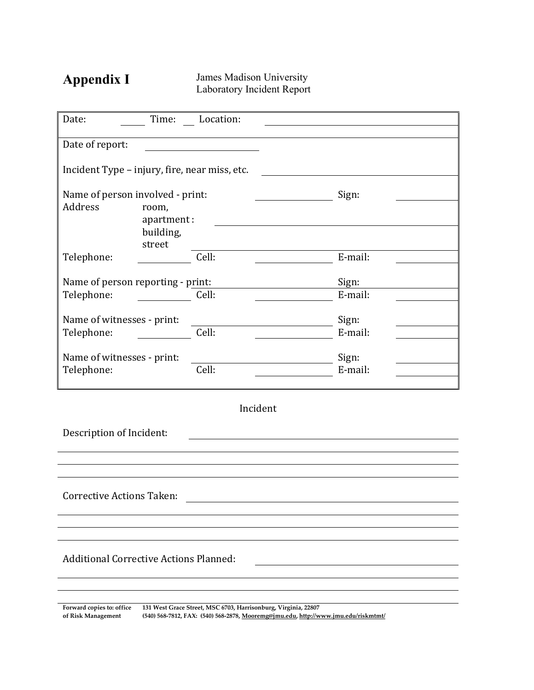# **Appendix I** James Madison University Laboratory Incident Report

| Date:                                                                                                                                                                                                                                                                                 | Time: Location: |                  |  |  |  |  |
|---------------------------------------------------------------------------------------------------------------------------------------------------------------------------------------------------------------------------------------------------------------------------------------|-----------------|------------------|--|--|--|--|
| Date of report:                                                                                                                                                                                                                                                                       |                 |                  |  |  |  |  |
| Incident Type - injury, fire, near miss, etc.<br><u>and the state of the state of the state of the state of the state of the state of the state of the state of the state of the state of the state of the state of the state of the state of the state of the state of the state</u> |                 |                  |  |  |  |  |
| Name of person involved - print:<br><b>Address</b><br>room,<br>apartment:<br>building,                                                                                                                                                                                                |                 | Sign:            |  |  |  |  |
| street                                                                                                                                                                                                                                                                                |                 |                  |  |  |  |  |
| Telephone:                                                                                                                                                                                                                                                                            | Cell:           | E-mail:          |  |  |  |  |
| Name of person reporting - print:<br>Telephone:                                                                                                                                                                                                                                       | Cell:           | Sign:<br>E-mail: |  |  |  |  |
| Name of witnesses - print:<br>Telephone:                                                                                                                                                                                                                                              | Cell:           | Sign:<br>E-mail: |  |  |  |  |
| Name of witnesses - print:<br>Telephone:                                                                                                                                                                                                                                              | Cell:           | Sign:<br>E-mail: |  |  |  |  |
| Incident                                                                                                                                                                                                                                                                              |                 |                  |  |  |  |  |
| Description of Incident:                                                                                                                                                                                                                                                              |                 |                  |  |  |  |  |
|                                                                                                                                                                                                                                                                                       |                 |                  |  |  |  |  |
| <b>Corrective Actions Taken:</b>                                                                                                                                                                                                                                                      |                 |                  |  |  |  |  |
|                                                                                                                                                                                                                                                                                       |                 |                  |  |  |  |  |
|                                                                                                                                                                                                                                                                                       |                 |                  |  |  |  |  |
| <b>Additional Corrective Actions Planned:</b>                                                                                                                                                                                                                                         |                 |                  |  |  |  |  |
|                                                                                                                                                                                                                                                                                       |                 |                  |  |  |  |  |
|                                                                                                                                                                                                                                                                                       |                 |                  |  |  |  |  |

**Forward copies to: office of Risk Management 131 West Grace Street, MSC 6703, Harrisonburg, Virginia, 22807 (540) 568‐7812, FAX: (540) 568‐2878, Mooremg@jmu.edu, http://www.jmu.edu/riskmtmt/**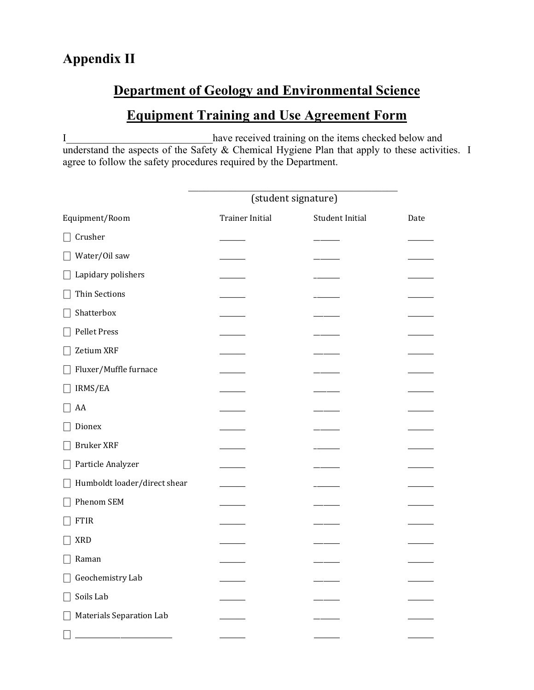# **Department of Geology and Environmental Science**

# **Equipment Training and Use Agreement Form**

I have received training on the items checked below and I understand the aspects of the Safety & Chemical Hygiene Plan that apply to these activities. I agree to follow the safety procedures required by the Department.

|                                                   | (student signature)    |                        |      |
|---------------------------------------------------|------------------------|------------------------|------|
| Equipment/Room                                    | <b>Trainer Initial</b> | <b>Student Initial</b> | Date |
| Crusher<br>$\Box$                                 |                        |                        |      |
| Water/Oil saw<br>$\vert \ \ \vert$                |                        |                        |      |
| Lapidary polishers<br>$\blacksquare$              |                        |                        |      |
| Thin Sections                                     |                        |                        |      |
| Shatterbox<br>$\Box$                              |                        |                        |      |
| Pellet Press<br>$\vert \ \ \vert$                 |                        |                        |      |
| Zetium XRF<br>$\Box$                              |                        |                        |      |
| Fluxer/Muffle furnace<br>$\vert \ \ \vert$        |                        |                        |      |
| IRMS/EA                                           |                        |                        |      |
| AA<br>$\blacksquare$                              |                        |                        |      |
| Dionex<br>- 1                                     |                        |                        |      |
| <b>Bruker XRF</b><br>$\vert \ \ \vert$            |                        |                        |      |
| Particle Analyzer<br>$\vert \ \ \vert$            |                        |                        |      |
| Humboldt loader/direct shear<br>$\vert \ \ \vert$ |                        |                        |      |
| Phenom SEM                                        |                        |                        |      |
| <b>FTIR</b>                                       |                        |                        |      |
| <b>XRD</b><br>$\Box$                              |                        |                        |      |
| Raman                                             |                        |                        |      |
| Geochemistry Lab<br>$\vert \ \ \vert$             |                        |                        |      |
| Soils Lab<br>$\Box$                               |                        |                        |      |
| <b>Materials Separation Lab</b>                   |                        |                        |      |
|                                                   |                        |                        |      |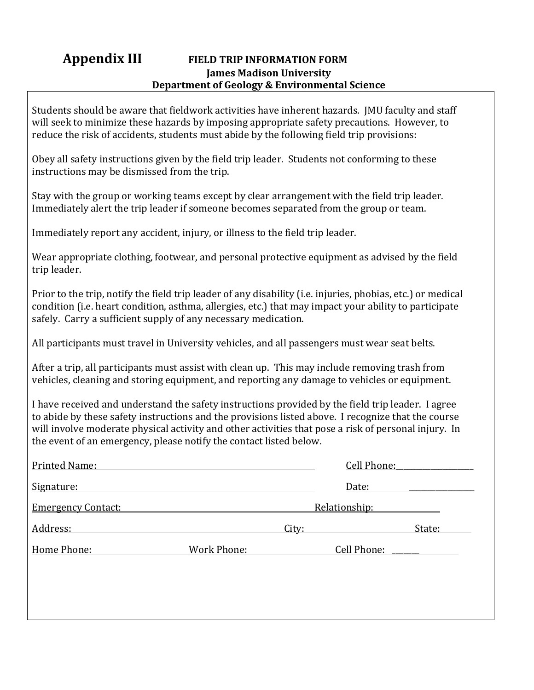# **Appendix III FIELD TRIP INFORMATION FORM James Madison University Department of Geology & Environmental Science**

Students should be aware that fieldwork activities have inherent hazards. JMU faculty and staff will seek to minimize these hazards by imposing appropriate safety precautions. However, to reduce the risk of accidents, students must abide by the following field trip provisions:

Obey all safety instructions given by the field trip leader. Students not conforming to these instructions may be dismissed from the trip.

Stay with the group or working teams except by clear arrangement with the field trip leader. Immediately alert the trip leader if someone becomes separated from the group or team.

Immediately report any accident, injury, or illness to the field trip leader.

Wear appropriate clothing, footwear, and personal protective equipment as advised by the field trip leader.

Prior to the trip, notify the field trip leader of any disability (i.e. injuries, phobias, etc.) or medical condition (i.e. heart condition, asthma, allergies, etc.) that may impact your ability to participate safely. Carry a sufficient supply of any necessary medication.

All participants must travel in University vehicles, and all passengers must wear seat belts.

After a trip, all participants must assist with clean up. This may include removing trash from vehicles, cleaning and storing equipment, and reporting any damage to vehicles or equipment.

I have received and understand the safety instructions provided by the field trip leader. I agree to abide by these safety instructions and the provisions listed above. I recognize that the course will involve moderate physical activity and other activities that pose a risk of personal injury. In the event of an emergency, please notify the contact listed below.

| Printed Name:             |                    |             | Cell Phone: |  |
|---------------------------|--------------------|-------------|-------------|--|
| Signature:                |                    |             | Date:       |  |
| <b>Emergency Contact:</b> | Relationship:      |             |             |  |
| Address:                  |                    | City:       | State:      |  |
| Home Phone:               | <b>Work Phone:</b> | Cell Phone: |             |  |
|                           |                    |             |             |  |
|                           |                    |             |             |  |